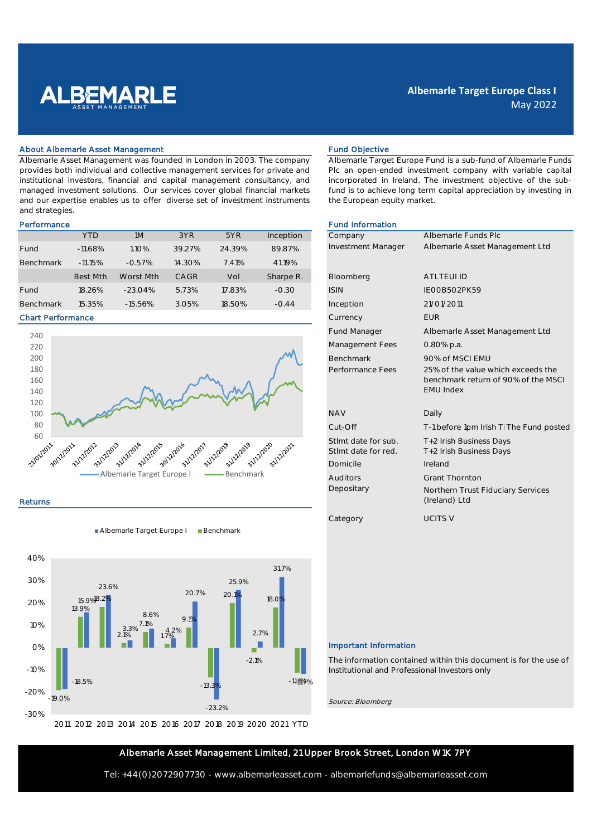

# **Albemarle Target Europe Class I** May 2022

#### About Albemarle Asset Management Fund Objective Fund Objective

Albemarle Asset Management was founded in London in 2003. The company provides both individual and collective management services for private and institutional investors, financial and capital management consultancy, and managed investment solutions. Our services cover global financial markets and our expertise enables us to offer diverse set of investment instruments and strategies.

|                  | <b>YTD</b>      | 1M         | 3YR         | 5YR    | Inception | Company            | Albemarle Fund      |
|------------------|-----------------|------------|-------------|--------|-----------|--------------------|---------------------|
| Fund             | $-11.68%$       | $1.10\%$   | 39.27%      | 24.39% | 89.87%    | Investment Manager | Albemarle Asse      |
| <b>Benchmark</b> | $-11.15%$       | $-0.57%$   | 14.30%      | 7.41%  | 41.19%    |                    |                     |
|                  | <b>Best Mth</b> | Worst Mth  | <b>CAGR</b> | Vol    | Sharpe R. | Bloomberg          | <b>ATLTEUI ID</b>   |
| Fund             | 18.26%          | $-23.04\%$ | 5.73%       | 17.83% | $-0.30$   | <b>ISIN</b>        | <b>IEOOB5O2PK59</b> |
| <b>Benchmark</b> | 15.35%          | $-15.56%$  | 3.05%       | 18.50% | $-0.44$   | Inception          | 21/01/2011          |

#### Chart Performance



### Returns

Albemarle Target Europe I Benchmark



Albemarle Target Europe Fund is a sub-fund of Albemarle Funds Plc an open-ended investment company with variable capital incorporated in Ireland. The investment objective of the subfund is to achieve long term capital appreciation by investing in the European equity market.

## Performance **Fund Information Fund Information**

|                                                                                            | Company Manager Albemarle Funds Plc<br>Investment Manager Albemarle Asset Management Ltd                                       |
|--------------------------------------------------------------------------------------------|--------------------------------------------------------------------------------------------------------------------------------|
|                                                                                            |                                                                                                                                |
|                                                                                            |                                                                                                                                |
| Bloomberg ATLTEUI ID                                                                       |                                                                                                                                |
| <b>ISIN</b>                                                                                | IEOOB502PK59                                                                                                                   |
| Inception 21/01/2011                                                                       |                                                                                                                                |
|                                                                                            |                                                                                                                                |
| Currency EUR                                                                               |                                                                                                                                |
| Fund Manager                                                                               | Albemarle Asset Management Ltd                                                                                                 |
| Management Fees 0.80% p.a.                                                                 |                                                                                                                                |
|                                                                                            |                                                                                                                                |
|                                                                                            | Proformance Fees 25% of MSCI EMU<br>Proformance Fees 25% of the value which exceeds the<br>benchmark return of 90% of the MSCI |
| <b>EMU Index</b>                                                                           |                                                                                                                                |
|                                                                                            |                                                                                                                                |
| <b>NAV</b><br>Daily                                                                        |                                                                                                                                |
|                                                                                            | Cut-Off T-1 before 1pm Irish Ti The Fund posted                                                                                |
|                                                                                            |                                                                                                                                |
| Stlmt date for sub. T+2 Irish Business Days<br>Stlmt date for red. T+2 Irish Business Days |                                                                                                                                |
| Domicile Ireland                                                                           |                                                                                                                                |
|                                                                                            |                                                                                                                                |
|                                                                                            |                                                                                                                                |
|                                                                                            | Hitors Grant Thornton<br>Yv Northern Trust Fiduciary Services<br>(Ireland) Ltd                                                 |
| Category UCITS V                                                                           |                                                                                                                                |
|                                                                                            |                                                                                                                                |

## Important Information

The information contained within this document is for the use of Institutional and Professional Investors only

Source: Bloomberg

## Albemarle Asset Management Limited, 21 Upper Brook Street, London W1K 7PY

Tel: +44(0)2072907730 - www.albemarleasset.com - albemarlefunds@albemarleasset.com